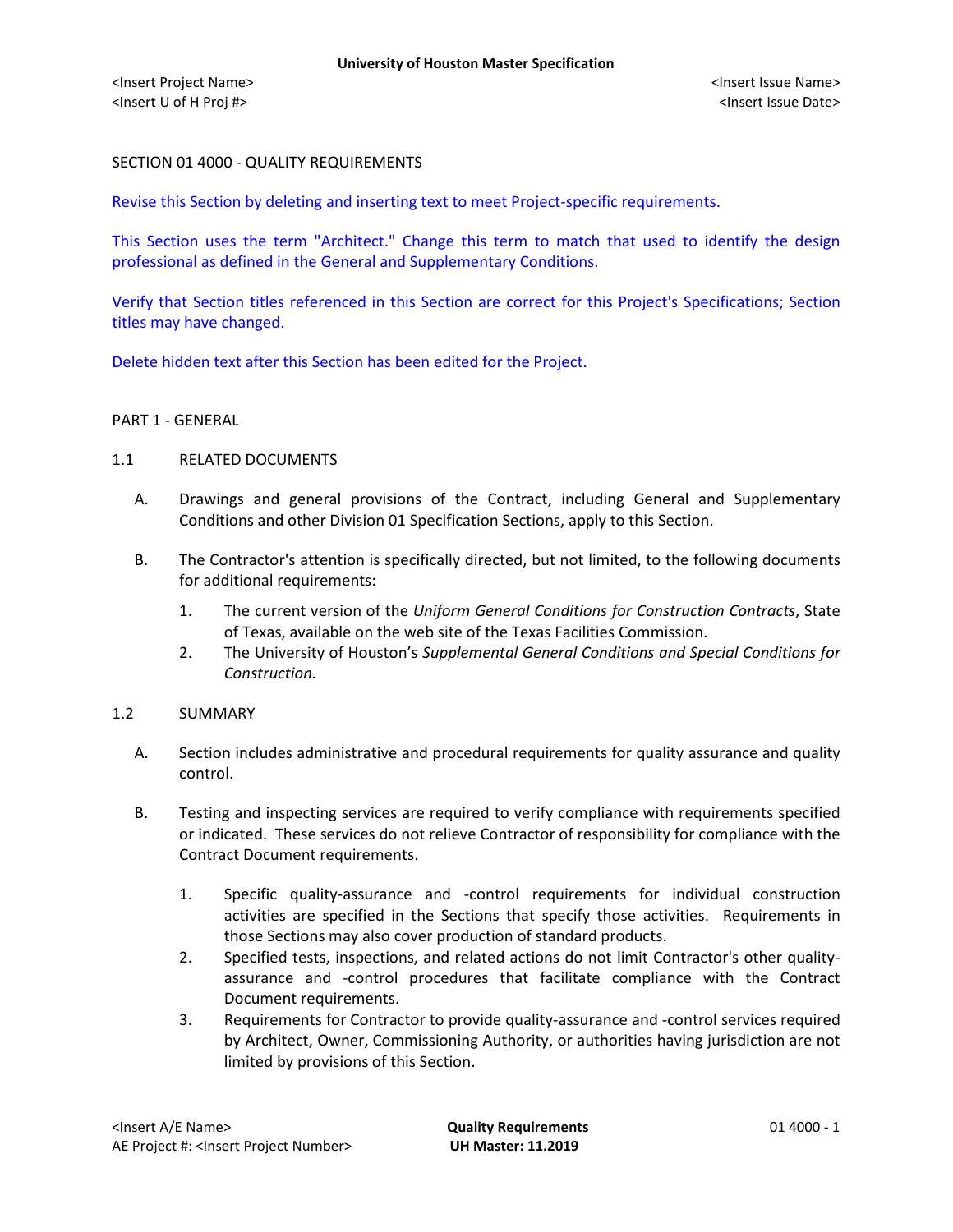# SECTION 01 4000 - QUALITY REQUIREMENTS

Revise this Section by deleting and inserting text to meet Project-specific requirements.

This Section uses the term "Architect." Change this term to match that used to identify the design professional as defined in the General and Supplementary Conditions.

Verify that Section titles referenced in this Section are correct for this Project's Specifications; Section titles may have changed.

Delete hidden text after this Section has been edited for the Project.

#### PART 1 - GENERAL

## 1.1 RELATED DOCUMENTS

- A. Drawings and general provisions of the Contract, including General and Supplementary Conditions and other Division 01 Specification Sections, apply to this Section.
- B. The Contractor's attention is specifically directed, but not limited, to the following documents for additional requirements:
	- 1. The current version of the *Uniform General Conditions for Construction Contracts*, State of Texas, available on the web site of the Texas Facilities Commission.
	- 2. The University of Houston's *Supplemental General Conditions and Special Conditions for Construction.*

#### 1.2 SUMMARY

- A. Section includes administrative and procedural requirements for quality assurance and quality control.
- B. Testing and inspecting services are required to verify compliance with requirements specified or indicated. These services do not relieve Contractor of responsibility for compliance with the Contract Document requirements.
	- 1. Specific quality-assurance and -control requirements for individual construction activities are specified in the Sections that specify those activities. Requirements in those Sections may also cover production of standard products.
	- 2. Specified tests, inspections, and related actions do not limit Contractor's other qualityassurance and -control procedures that facilitate compliance with the Contract Document requirements.
	- 3. Requirements for Contractor to provide quality-assurance and -control services required by Architect, Owner, Commissioning Authority, or authorities having jurisdiction are not limited by provisions of this Section.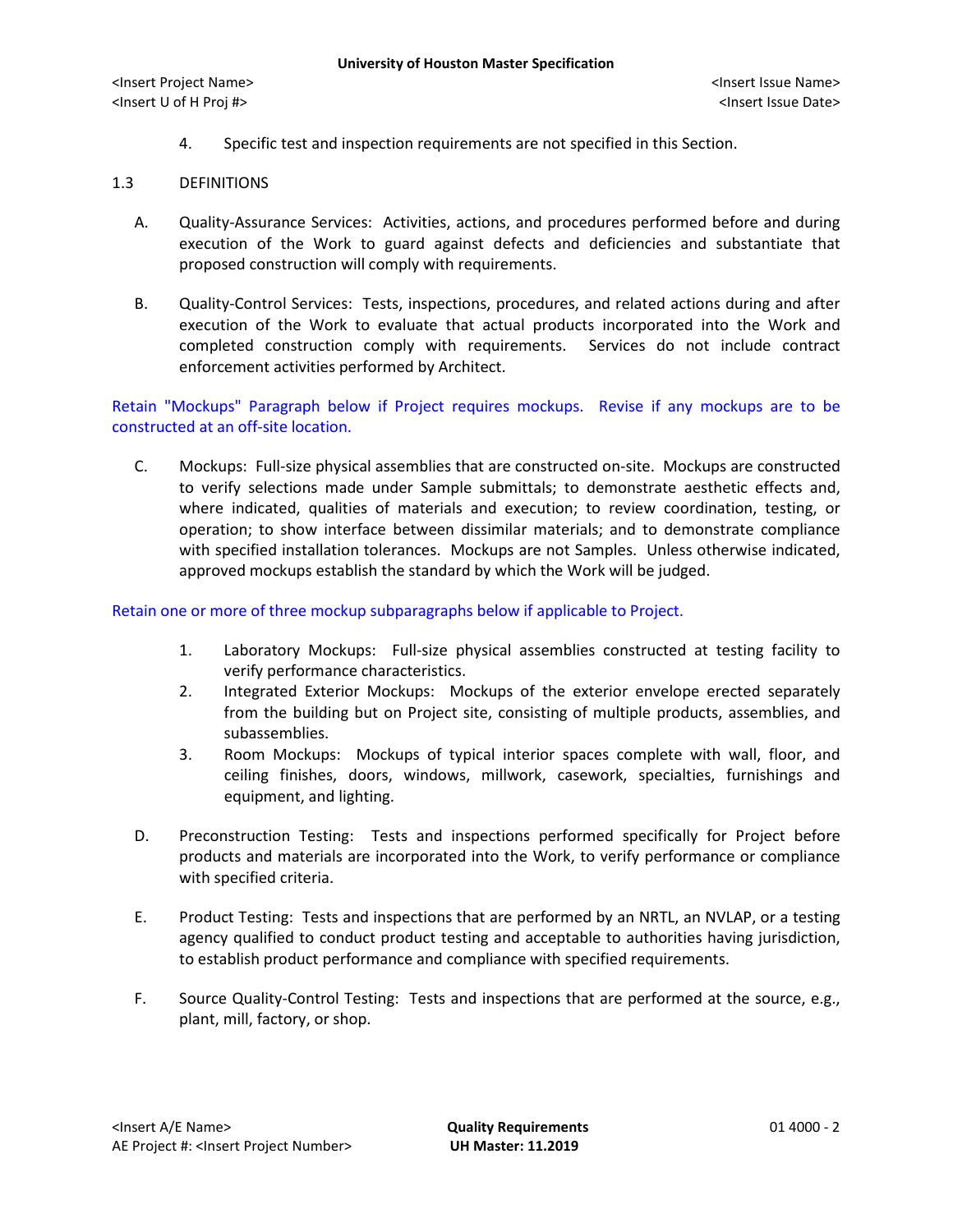4. Specific test and inspection requirements are not specified in this Section.

# 1.3 DEFINITIONS

- A. Quality-Assurance Services: Activities, actions, and procedures performed before and during execution of the Work to guard against defects and deficiencies and substantiate that proposed construction will comply with requirements.
- B. Quality-Control Services: Tests, inspections, procedures, and related actions during and after execution of the Work to evaluate that actual products incorporated into the Work and completed construction comply with requirements. Services do not include contract enforcement activities performed by Architect.

Retain "Mockups" Paragraph below if Project requires mockups. Revise if any mockups are to be constructed at an off-site location.

C. Mockups: Full-size physical assemblies that are constructed on-site. Mockups are constructed to verify selections made under Sample submittals; to demonstrate aesthetic effects and, where indicated, qualities of materials and execution; to review coordination, testing, or operation; to show interface between dissimilar materials; and to demonstrate compliance with specified installation tolerances. Mockups are not Samples. Unless otherwise indicated, approved mockups establish the standard by which the Work will be judged.

Retain one or more of three mockup subparagraphs below if applicable to Project.

- 1. Laboratory Mockups: Full-size physical assemblies constructed at testing facility to verify performance characteristics.
- 2. Integrated Exterior Mockups: Mockups of the exterior envelope erected separately from the building but on Project site, consisting of multiple products, assemblies, and subassemblies.
- 3. Room Mockups: Mockups of typical interior spaces complete with wall, floor, and ceiling finishes, doors, windows, millwork, casework, specialties, furnishings and equipment, and lighting.
- D. Preconstruction Testing: Tests and inspections performed specifically for Project before products and materials are incorporated into the Work, to verify performance or compliance with specified criteria.
- E. Product Testing: Tests and inspections that are performed by an NRTL, an NVLAP, or a testing agency qualified to conduct product testing and acceptable to authorities having jurisdiction, to establish product performance and compliance with specified requirements.
- F. Source Quality-Control Testing: Tests and inspections that are performed at the source, e.g., plant, mill, factory, or shop.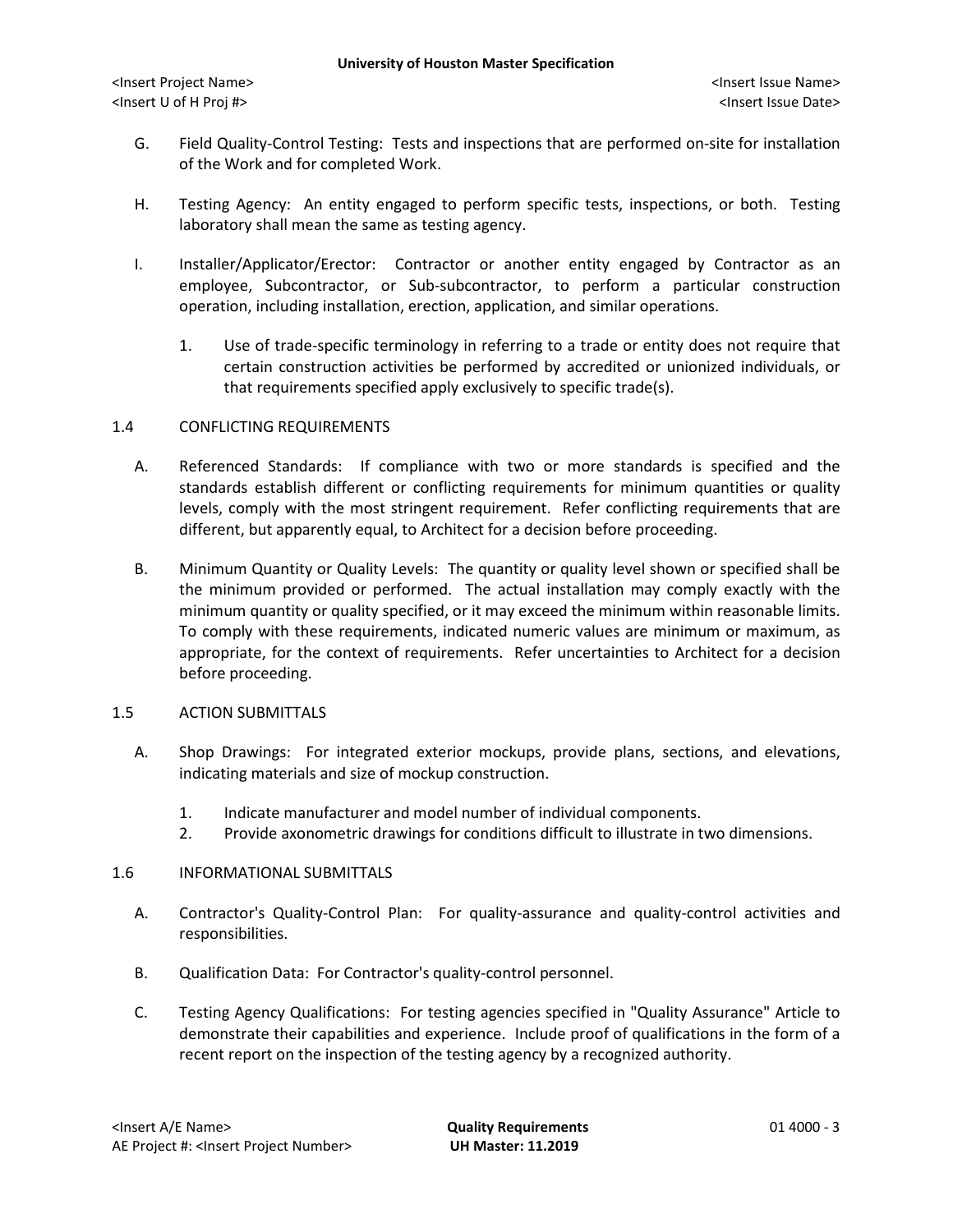- G. Field Quality-Control Testing: Tests and inspections that are performed on-site for installation of the Work and for completed Work.
- H. Testing Agency: An entity engaged to perform specific tests, inspections, or both. Testing laboratory shall mean the same as testing agency.
- I. Installer/Applicator/Erector: Contractor or another entity engaged by Contractor as an employee, Subcontractor, or Sub-subcontractor, to perform a particular construction operation, including installation, erection, application, and similar operations.
	- 1. Use of trade-specific terminology in referring to a trade or entity does not require that certain construction activities be performed by accredited or unionized individuals, or that requirements specified apply exclusively to specific trade(s).

## 1.4 CONFLICTING REQUIREMENTS

- A. Referenced Standards: If compliance with two or more standards is specified and the standards establish different or conflicting requirements for minimum quantities or quality levels, comply with the most stringent requirement. Refer conflicting requirements that are different, but apparently equal, to Architect for a decision before proceeding.
- B. Minimum Quantity or Quality Levels: The quantity or quality level shown or specified shall be the minimum provided or performed. The actual installation may comply exactly with the minimum quantity or quality specified, or it may exceed the minimum within reasonable limits. To comply with these requirements, indicated numeric values are minimum or maximum, as appropriate, for the context of requirements. Refer uncertainties to Architect for a decision before proceeding.

#### 1.5 ACTION SUBMITTALS

- A. Shop Drawings: For integrated exterior mockups, provide plans, sections, and elevations, indicating materials and size of mockup construction.
	- 1. Indicate manufacturer and model number of individual components.
	- 2. Provide axonometric drawings for conditions difficult to illustrate in two dimensions.

#### 1.6 INFORMATIONAL SUBMITTALS

- A. Contractor's Quality-Control Plan: For quality-assurance and quality-control activities and responsibilities.
- B. Qualification Data: For Contractor's quality-control personnel.
- C. Testing Agency Qualifications: For testing agencies specified in "Quality Assurance" Article to demonstrate their capabilities and experience. Include proof of qualifications in the form of a recent report on the inspection of the testing agency by a recognized authority.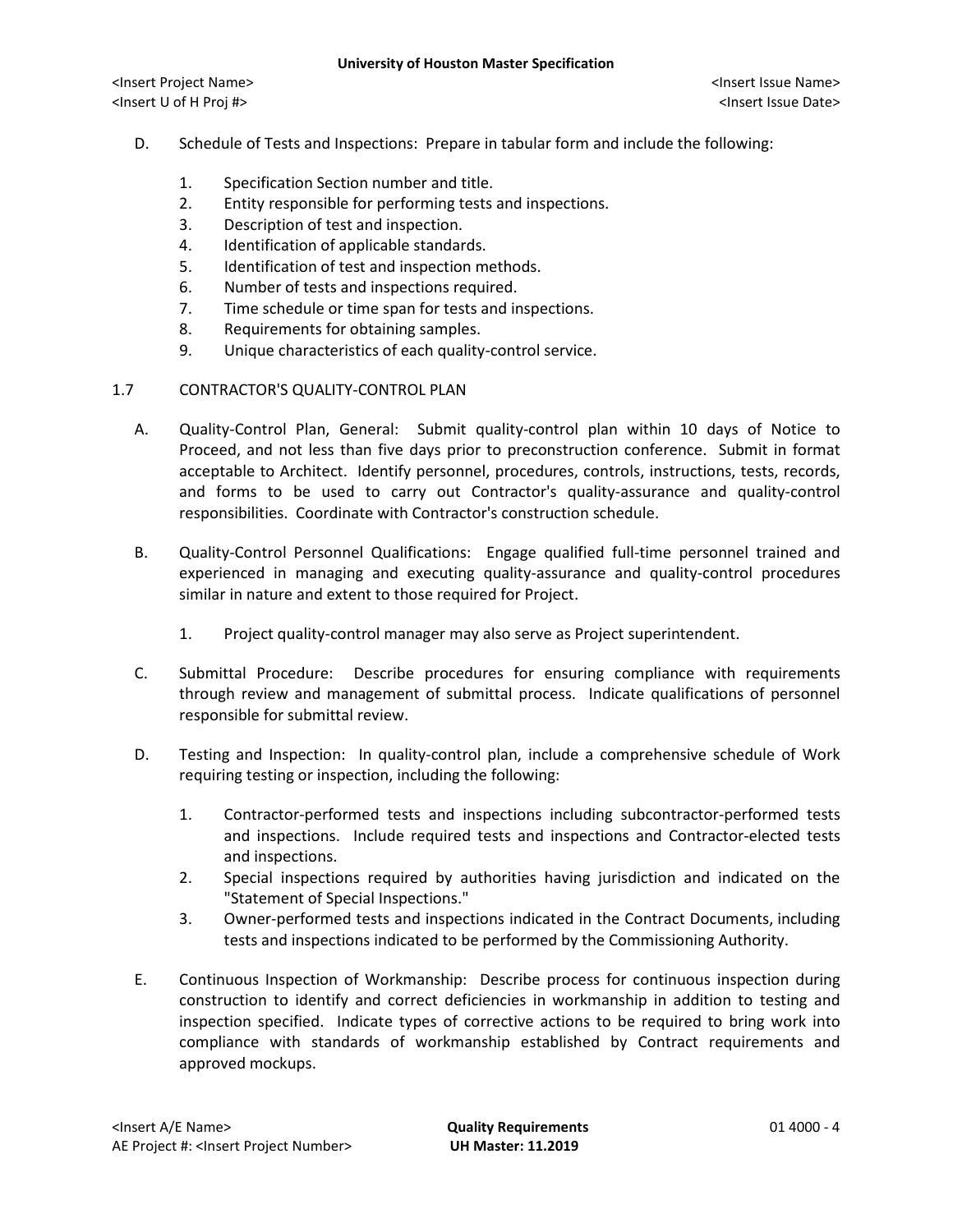- D. Schedule of Tests and Inspections: Prepare in tabular form and include the following:
	- 1. Specification Section number and title.
	- 2. Entity responsible for performing tests and inspections.
	- 3. Description of test and inspection.
	- 4. Identification of applicable standards.
	- 5. Identification of test and inspection methods.
	- 6. Number of tests and inspections required.
	- 7. Time schedule or time span for tests and inspections.
	- 8. Requirements for obtaining samples.
	- 9. Unique characteristics of each quality-control service.

#### 1.7 CONTRACTOR'S QUALITY-CONTROL PLAN

- A. Quality-Control Plan, General: Submit quality-control plan within 10 days of Notice to Proceed, and not less than five days prior to preconstruction conference. Submit in format acceptable to Architect. Identify personnel, procedures, controls, instructions, tests, records, and forms to be used to carry out Contractor's quality-assurance and quality-control responsibilities. Coordinate with Contractor's construction schedule.
- B. Quality-Control Personnel Qualifications: Engage qualified full-time personnel trained and experienced in managing and executing quality-assurance and quality-control procedures similar in nature and extent to those required for Project.
	- 1. Project quality-control manager may also serve as Project superintendent.
- C. Submittal Procedure: Describe procedures for ensuring compliance with requirements through review and management of submittal process. Indicate qualifications of personnel responsible for submittal review.
- D. Testing and Inspection: In quality-control plan, include a comprehensive schedule of Work requiring testing or inspection, including the following:
	- 1. Contractor-performed tests and inspections including subcontractor-performed tests and inspections. Include required tests and inspections and Contractor-elected tests and inspections.
	- 2. Special inspections required by authorities having jurisdiction and indicated on the "Statement of Special Inspections."
	- 3. Owner-performed tests and inspections indicated in the Contract Documents, including tests and inspections indicated to be performed by the Commissioning Authority.
- E. Continuous Inspection of Workmanship: Describe process for continuous inspection during construction to identify and correct deficiencies in workmanship in addition to testing and inspection specified. Indicate types of corrective actions to be required to bring work into compliance with standards of workmanship established by Contract requirements and approved mockups.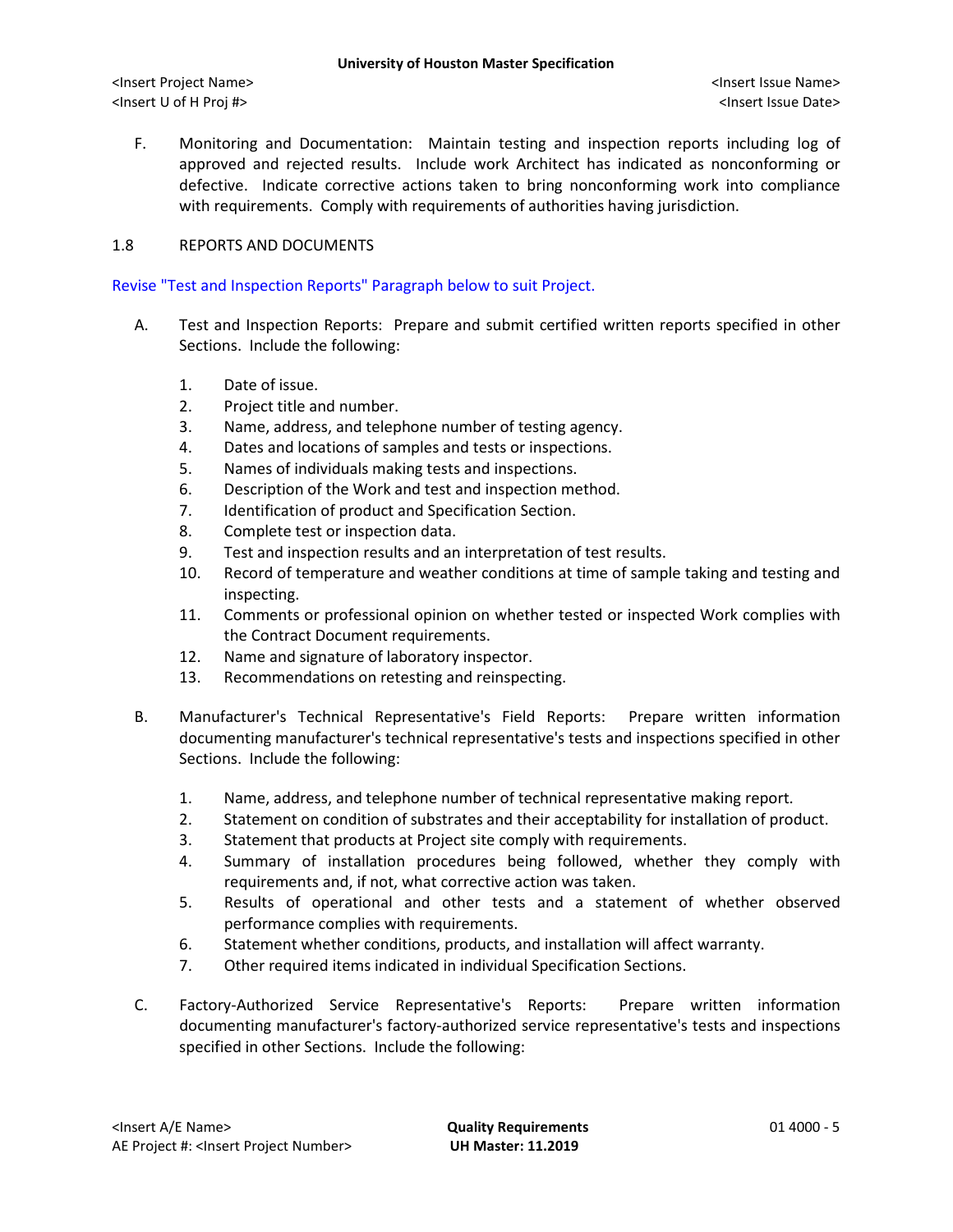F. Monitoring and Documentation: Maintain testing and inspection reports including log of approved and rejected results. Include work Architect has indicated as nonconforming or defective. Indicate corrective actions taken to bring nonconforming work into compliance with requirements. Comply with requirements of authorities having jurisdiction.

# 1.8 REPORTS AND DOCUMENTS

#### Revise "Test and Inspection Reports" Paragraph below to suit Project.

- A. Test and Inspection Reports: Prepare and submit certified written reports specified in other Sections. Include the following:
	- 1. Date of issue.
	- 2. Project title and number.
	- 3. Name, address, and telephone number of testing agency.
	- 4. Dates and locations of samples and tests or inspections.
	- 5. Names of individuals making tests and inspections.
	- 6. Description of the Work and test and inspection method.
	- 7. Identification of product and Specification Section.
	- 8. Complete test or inspection data.
	- 9. Test and inspection results and an interpretation of test results.
	- 10. Record of temperature and weather conditions at time of sample taking and testing and inspecting.
	- 11. Comments or professional opinion on whether tested or inspected Work complies with the Contract Document requirements.
	- 12. Name and signature of laboratory inspector.
	- 13. Recommendations on retesting and reinspecting.
- B. Manufacturer's Technical Representative's Field Reports: Prepare written information documenting manufacturer's technical representative's tests and inspections specified in other Sections. Include the following:
	- 1. Name, address, and telephone number of technical representative making report.
	- 2. Statement on condition of substrates and their acceptability for installation of product.
	- 3. Statement that products at Project site comply with requirements.
	- 4. Summary of installation procedures being followed, whether they comply with requirements and, if not, what corrective action was taken.
	- 5. Results of operational and other tests and a statement of whether observed performance complies with requirements.
	- 6. Statement whether conditions, products, and installation will affect warranty.
	- 7. Other required items indicated in individual Specification Sections.
- C. Factory-Authorized Service Representative's Reports: Prepare written information documenting manufacturer's factory-authorized service representative's tests and inspections specified in other Sections. Include the following: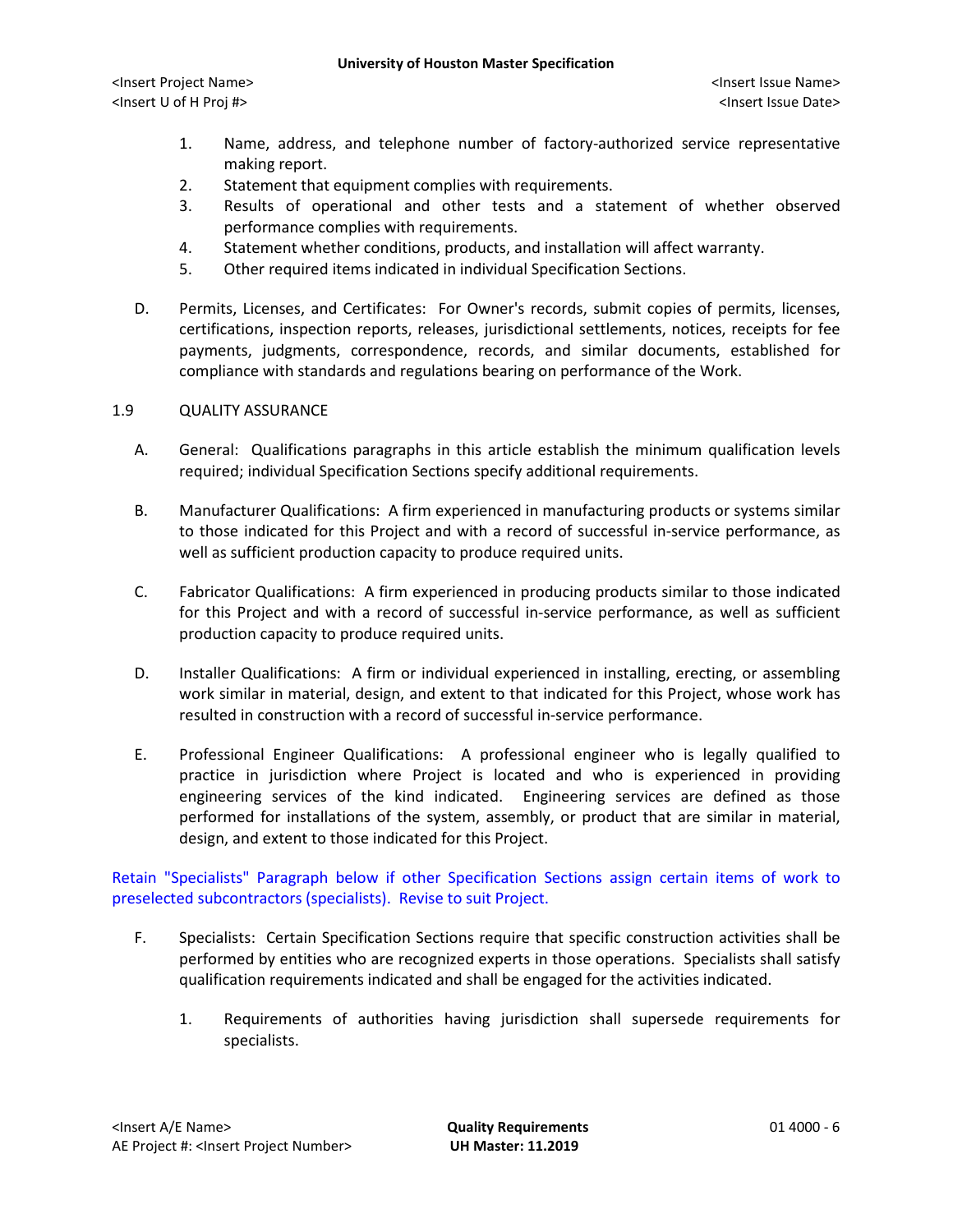- 1. Name, address, and telephone number of factory-authorized service representative making report.
- 2. Statement that equipment complies with requirements.
- 3. Results of operational and other tests and a statement of whether observed performance complies with requirements.
- 4. Statement whether conditions, products, and installation will affect warranty.
- 5. Other required items indicated in individual Specification Sections.
- D. Permits, Licenses, and Certificates: For Owner's records, submit copies of permits, licenses, certifications, inspection reports, releases, jurisdictional settlements, notices, receipts for fee payments, judgments, correspondence, records, and similar documents, established for compliance with standards and regulations bearing on performance of the Work.

## 1.9 QUALITY ASSURANCE

- A. General: Qualifications paragraphs in this article establish the minimum qualification levels required; individual Specification Sections specify additional requirements.
- B. Manufacturer Qualifications: A firm experienced in manufacturing products or systems similar to those indicated for this Project and with a record of successful in-service performance, as well as sufficient production capacity to produce required units.
- C. Fabricator Qualifications: A firm experienced in producing products similar to those indicated for this Project and with a record of successful in-service performance, as well as sufficient production capacity to produce required units.
- D. Installer Qualifications: A firm or individual experienced in installing, erecting, or assembling work similar in material, design, and extent to that indicated for this Project, whose work has resulted in construction with a record of successful in-service performance.
- E. Professional Engineer Qualifications: A professional engineer who is legally qualified to practice in jurisdiction where Project is located and who is experienced in providing engineering services of the kind indicated. Engineering services are defined as those performed for installations of the system, assembly, or product that are similar in material, design, and extent to those indicated for this Project.

Retain "Specialists" Paragraph below if other Specification Sections assign certain items of work to preselected subcontractors (specialists). Revise to suit Project.

- F. Specialists: Certain Specification Sections require that specific construction activities shall be performed by entities who are recognized experts in those operations. Specialists shall satisfy qualification requirements indicated and shall be engaged for the activities indicated.
	- 1. Requirements of authorities having jurisdiction shall supersede requirements for specialists.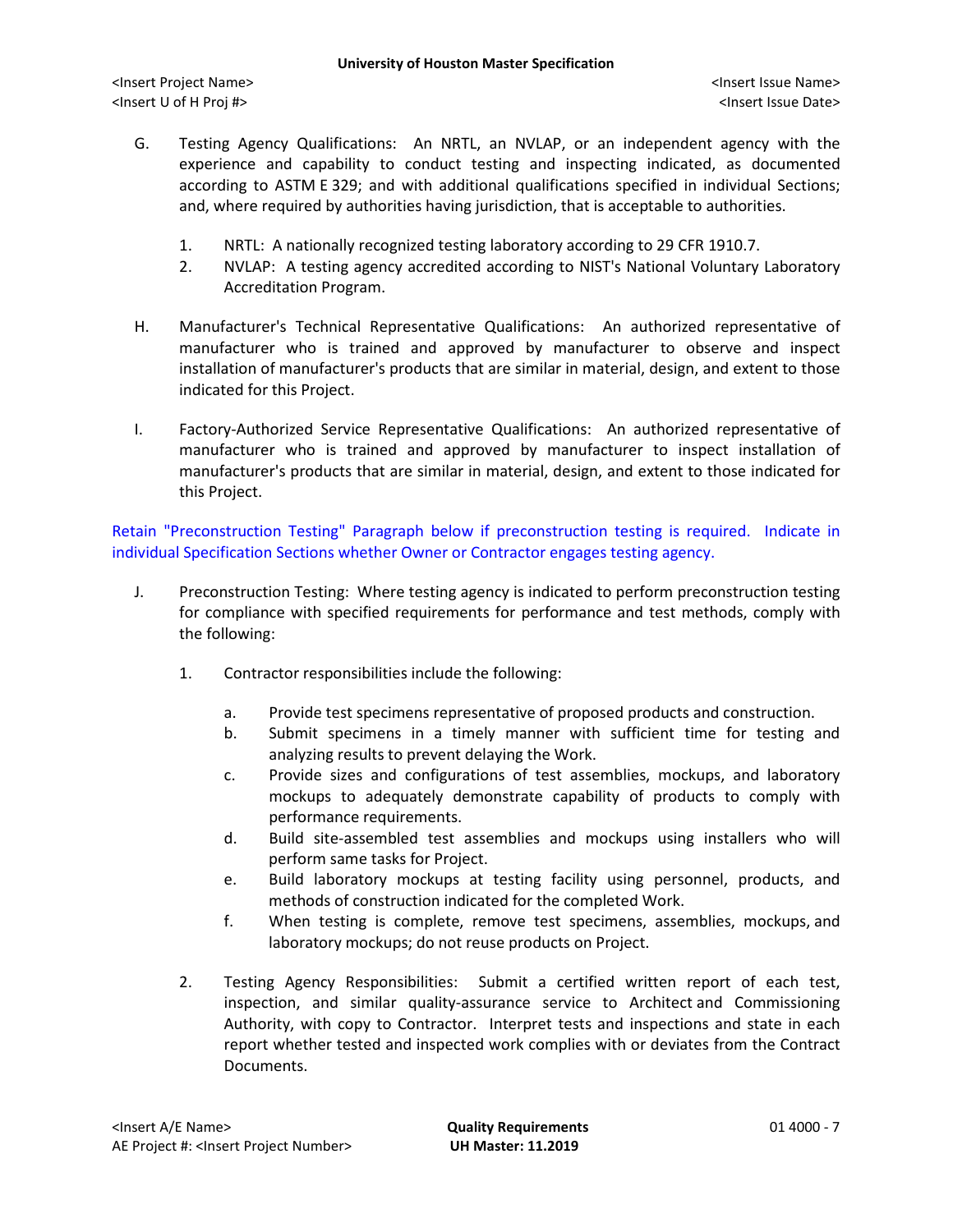- G. Testing Agency Qualifications: An NRTL, an NVLAP, or an independent agency with the experience and capability to conduct testing and inspecting indicated, as documented according to ASTM E 329; and with additional qualifications specified in individual Sections; and, where required by authorities having jurisdiction, that is acceptable to authorities.
	- 1. NRTL: A nationally recognized testing laboratory according to 29 CFR 1910.7.
	- 2. NVLAP: A testing agency accredited according to NIST's National Voluntary Laboratory Accreditation Program.
- H. Manufacturer's Technical Representative Qualifications: An authorized representative of manufacturer who is trained and approved by manufacturer to observe and inspect installation of manufacturer's products that are similar in material, design, and extent to those indicated for this Project.
- I. Factory-Authorized Service Representative Qualifications: An authorized representative of manufacturer who is trained and approved by manufacturer to inspect installation of manufacturer's products that are similar in material, design, and extent to those indicated for this Project.

Retain "Preconstruction Testing" Paragraph below if preconstruction testing is required. Indicate in individual Specification Sections whether Owner or Contractor engages testing agency.

- J. Preconstruction Testing: Where testing agency is indicated to perform preconstruction testing for compliance with specified requirements for performance and test methods, comply with the following:
	- 1. Contractor responsibilities include the following:
		- a. Provide test specimens representative of proposed products and construction.
		- b. Submit specimens in a timely manner with sufficient time for testing and analyzing results to prevent delaying the Work.
		- c. Provide sizes and configurations of test assemblies, mockups, and laboratory mockups to adequately demonstrate capability of products to comply with performance requirements.
		- d. Build site-assembled test assemblies and mockups using installers who will perform same tasks for Project.
		- e. Build laboratory mockups at testing facility using personnel, products, and methods of construction indicated for the completed Work.
		- f. When testing is complete, remove test specimens, assemblies, mockups, and laboratory mockups; do not reuse products on Project.
	- 2. Testing Agency Responsibilities: Submit a certified written report of each test, inspection, and similar quality-assurance service to Architect and Commissioning Authority, with copy to Contractor. Interpret tests and inspections and state in each report whether tested and inspected work complies with or deviates from the Contract Documents.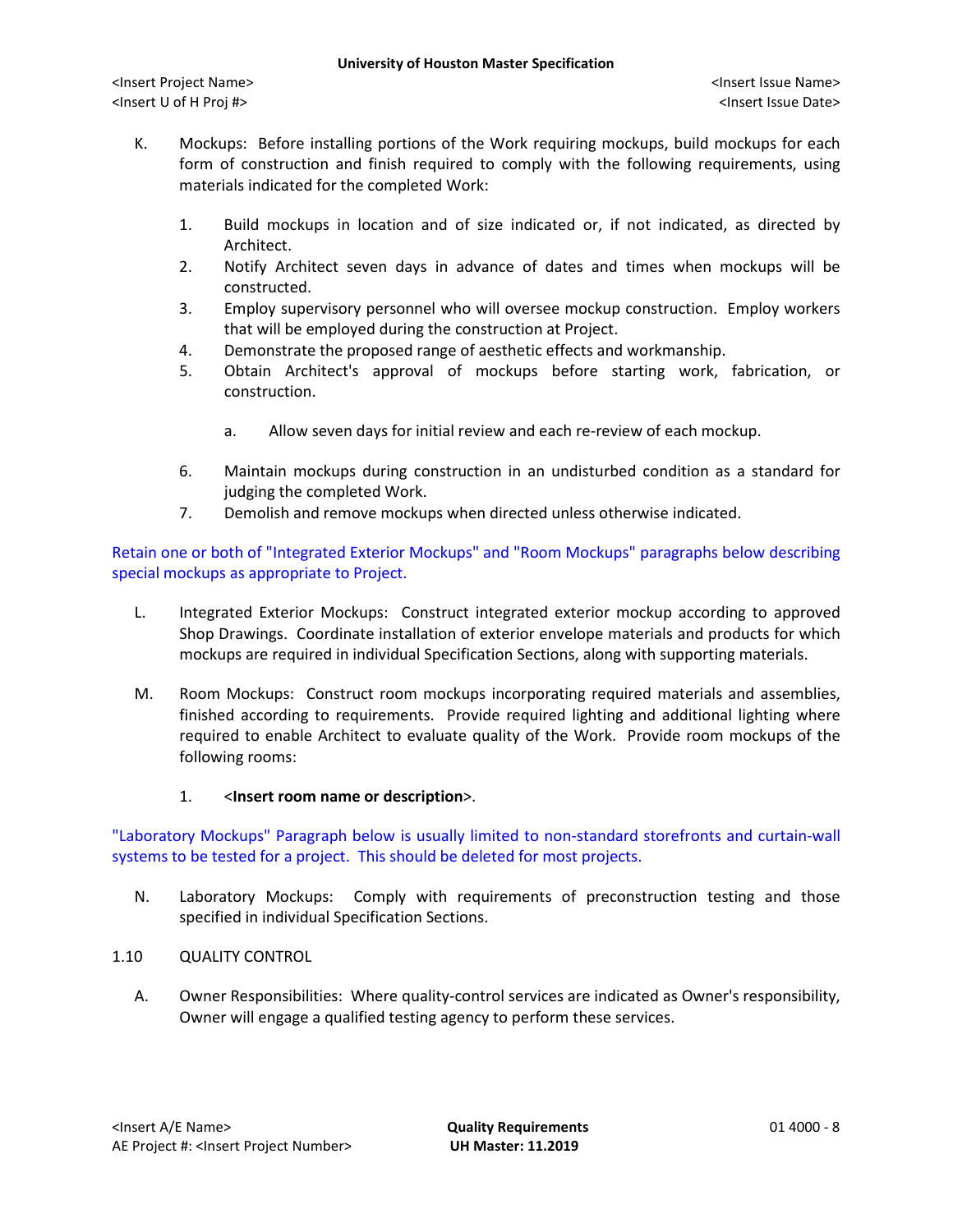- K. Mockups: Before installing portions of the Work requiring mockups, build mockups for each form of construction and finish required to comply with the following requirements, using materials indicated for the completed Work:
	- 1. Build mockups in location and of size indicated or, if not indicated, as directed by Architect.
	- 2. Notify Architect seven days in advance of dates and times when mockups will be constructed.
	- 3. Employ supervisory personnel who will oversee mockup construction. Employ workers that will be employed during the construction at Project.
	- 4. Demonstrate the proposed range of aesthetic effects and workmanship.
	- 5. Obtain Architect's approval of mockups before starting work, fabrication, or construction.
		- a. Allow seven days for initial review and each re-review of each mockup.
	- 6. Maintain mockups during construction in an undisturbed condition as a standard for judging the completed Work.
	- 7. Demolish and remove mockups when directed unless otherwise indicated.

Retain one or both of "Integrated Exterior Mockups" and "Room Mockups" paragraphs below describing special mockups as appropriate to Project.

- L. Integrated Exterior Mockups: Construct integrated exterior mockup according to approved Shop Drawings. Coordinate installation of exterior envelope materials and products for which mockups are required in individual Specification Sections, along with supporting materials.
- M. Room Mockups: Construct room mockups incorporating required materials and assemblies, finished according to requirements. Provide required lighting and additional lighting where required to enable Architect to evaluate quality of the Work. Provide room mockups of the following rooms:
	- 1. <**Insert room name or description**>.

"Laboratory Mockups" Paragraph below is usually limited to non-standard storefronts and curtain-wall systems to be tested for a project. This should be deleted for most projects.

- N. Laboratory Mockups: Comply with requirements of preconstruction testing and those specified in individual Specification Sections.
- 1.10 QUALITY CONTROL
	- A. Owner Responsibilities: Where quality-control services are indicated as Owner's responsibility, Owner will engage a qualified testing agency to perform these services.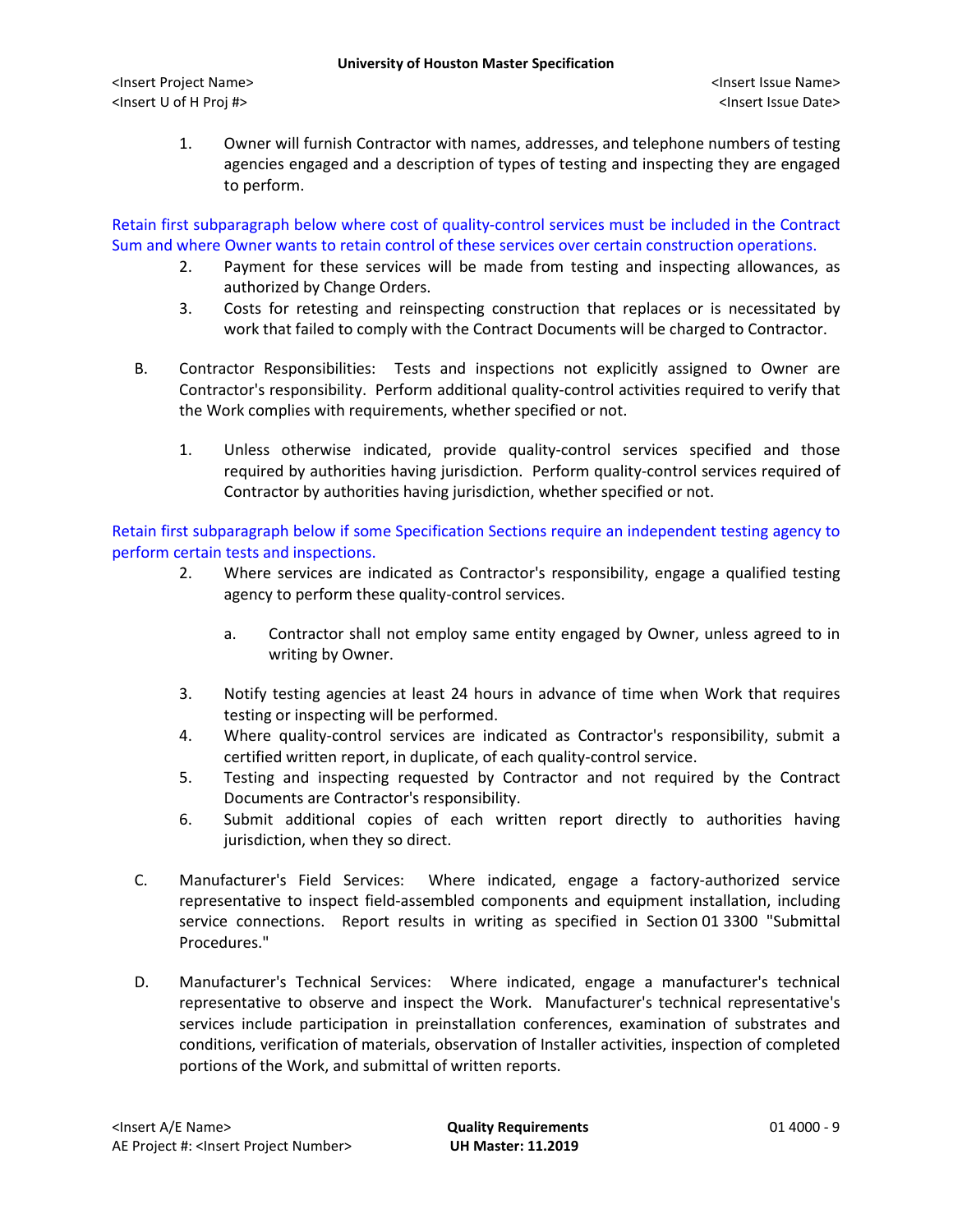1. Owner will furnish Contractor with names, addresses, and telephone numbers of testing agencies engaged and a description of types of testing and inspecting they are engaged to perform.

Retain first subparagraph below where cost of quality-control services must be included in the Contract Sum and where Owner wants to retain control of these services over certain construction operations.

- 2. Payment for these services will be made from testing and inspecting allowances, as authorized by Change Orders.
- 3. Costs for retesting and reinspecting construction that replaces or is necessitated by work that failed to comply with the Contract Documents will be charged to Contractor.
- B. Contractor Responsibilities: Tests and inspections not explicitly assigned to Owner are Contractor's responsibility. Perform additional quality-control activities required to verify that the Work complies with requirements, whether specified or not.
	- 1. Unless otherwise indicated, provide quality-control services specified and those required by authorities having jurisdiction. Perform quality-control services required of Contractor by authorities having jurisdiction, whether specified or not.

Retain first subparagraph below if some Specification Sections require an independent testing agency to perform certain tests and inspections.

- 2. Where services are indicated as Contractor's responsibility, engage a qualified testing agency to perform these quality-control services.
	- a. Contractor shall not employ same entity engaged by Owner, unless agreed to in writing by Owner.
- 3. Notify testing agencies at least 24 hours in advance of time when Work that requires testing or inspecting will be performed.
- 4. Where quality-control services are indicated as Contractor's responsibility, submit a certified written report, in duplicate, of each quality-control service.
- 5. Testing and inspecting requested by Contractor and not required by the Contract Documents are Contractor's responsibility.
- 6. Submit additional copies of each written report directly to authorities having jurisdiction, when they so direct.
- C. Manufacturer's Field Services: Where indicated, engage a factory-authorized service representative to inspect field-assembled components and equipment installation, including service connections. Report results in writing as specified in Section 01 3300 "Submittal Procedures."
- D. Manufacturer's Technical Services: Where indicated, engage a manufacturer's technical representative to observe and inspect the Work. Manufacturer's technical representative's services include participation in preinstallation conferences, examination of substrates and conditions, verification of materials, observation of Installer activities, inspection of completed portions of the Work, and submittal of written reports.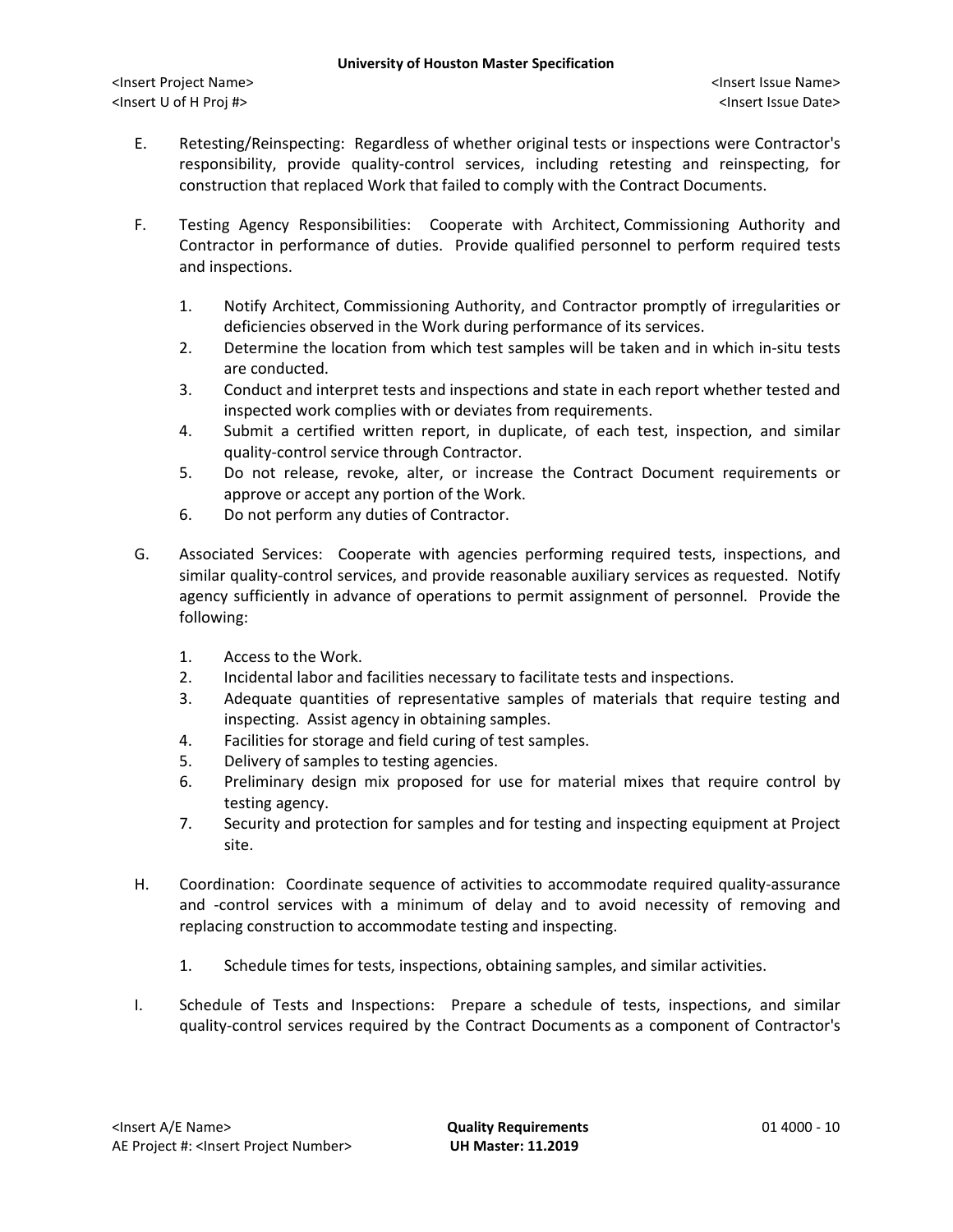- E. Retesting/Reinspecting: Regardless of whether original tests or inspections were Contractor's responsibility, provide quality-control services, including retesting and reinspecting, for construction that replaced Work that failed to comply with the Contract Documents.
- F. Testing Agency Responsibilities: Cooperate with Architect, Commissioning Authority and Contractor in performance of duties. Provide qualified personnel to perform required tests and inspections.
	- 1. Notify Architect, Commissioning Authority, and Contractor promptly of irregularities or deficiencies observed in the Work during performance of its services.
	- 2. Determine the location from which test samples will be taken and in which in-situ tests are conducted.
	- 3. Conduct and interpret tests and inspections and state in each report whether tested and inspected work complies with or deviates from requirements.
	- 4. Submit a certified written report, in duplicate, of each test, inspection, and similar quality-control service through Contractor.
	- 5. Do not release, revoke, alter, or increase the Contract Document requirements or approve or accept any portion of the Work.
	- 6. Do not perform any duties of Contractor.
- G. Associated Services: Cooperate with agencies performing required tests, inspections, and similar quality-control services, and provide reasonable auxiliary services as requested. Notify agency sufficiently in advance of operations to permit assignment of personnel. Provide the following:
	- 1. Access to the Work.
	- 2. Incidental labor and facilities necessary to facilitate tests and inspections.
	- 3. Adequate quantities of representative samples of materials that require testing and inspecting. Assist agency in obtaining samples.
	- 4. Facilities for storage and field curing of test samples.
	- 5. Delivery of samples to testing agencies.
	- 6. Preliminary design mix proposed for use for material mixes that require control by testing agency.
	- 7. Security and protection for samples and for testing and inspecting equipment at Project site.
- H. Coordination: Coordinate sequence of activities to accommodate required quality-assurance and -control services with a minimum of delay and to avoid necessity of removing and replacing construction to accommodate testing and inspecting.
	- 1. Schedule times for tests, inspections, obtaining samples, and similar activities.
- I. Schedule of Tests and Inspections: Prepare a schedule of tests, inspections, and similar quality-control services required by the Contract Documents as a component of Contractor's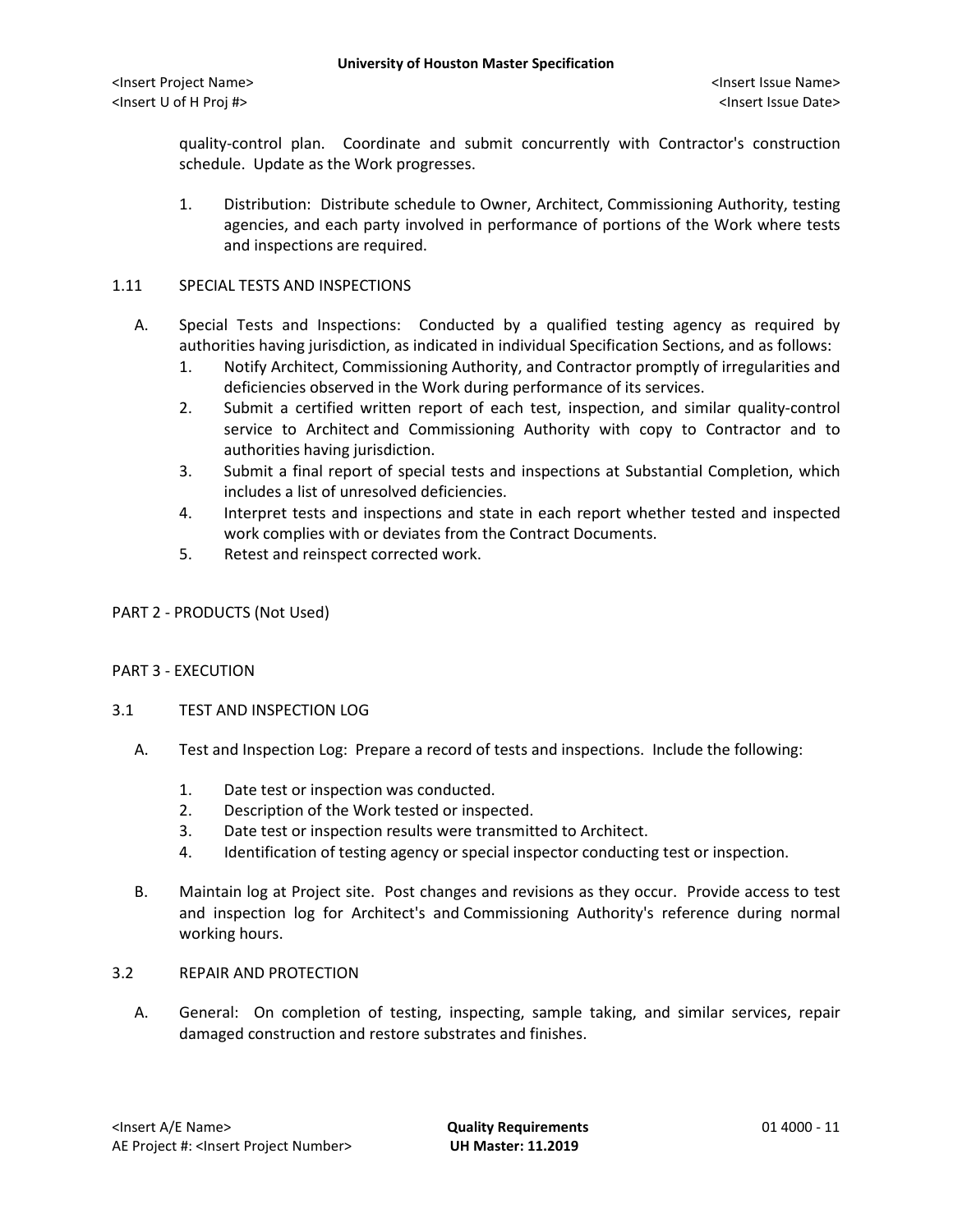quality-control plan. Coordinate and submit concurrently with Contractor's construction schedule. Update as the Work progresses.

1. Distribution: Distribute schedule to Owner, Architect, Commissioning Authority, testing agencies, and each party involved in performance of portions of the Work where tests and inspections are required.

#### 1.11 SPECIAL TESTS AND INSPECTIONS

- A. Special Tests and Inspections: Conducted by a qualified testing agency as required by authorities having jurisdiction, as indicated in individual Specification Sections, and as follows:
	- 1. Notify Architect, Commissioning Authority, and Contractor promptly of irregularities and deficiencies observed in the Work during performance of its services.
	- 2. Submit a certified written report of each test, inspection, and similar quality-control service to Architect and Commissioning Authority with copy to Contractor and to authorities having jurisdiction.
	- 3. Submit a final report of special tests and inspections at Substantial Completion, which includes a list of unresolved deficiencies.
	- 4. Interpret tests and inspections and state in each report whether tested and inspected work complies with or deviates from the Contract Documents.
	- 5. Retest and reinspect corrected work.
- PART 2 PRODUCTS (Not Used)

#### PART 3 - EXECUTION

- 3.1 TEST AND INSPECTION LOG
	- A. Test and Inspection Log: Prepare a record of tests and inspections. Include the following:
		- 1. Date test or inspection was conducted.
		- 2. Description of the Work tested or inspected.
		- 3. Date test or inspection results were transmitted to Architect.
		- 4. Identification of testing agency or special inspector conducting test or inspection.
	- B. Maintain log at Project site. Post changes and revisions as they occur. Provide access to test and inspection log for Architect's and Commissioning Authority's reference during normal working hours.

#### 3.2 REPAIR AND PROTECTION

A. General: On completion of testing, inspecting, sample taking, and similar services, repair damaged construction and restore substrates and finishes.